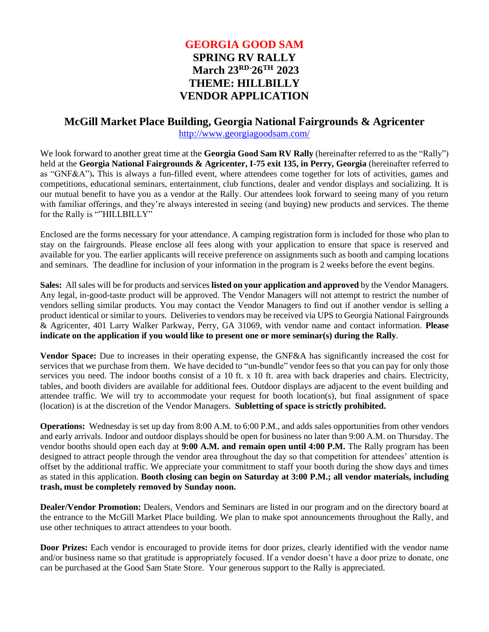# **GEORGIA GOOD SAM SPRING RV RALLY March 23RD-26TH 2023 THEME: HILLBILLY VENDOR APPLICATION**

# **McGill Market Place Building, Georgia National Fairgrounds & Agricenter**

<http://www.georgiagoodsam.com/>

We look forward to another great time at the **Georgia Good Sam RV Rally** (hereinafter referred to as the "Rally") held at the **Georgia National Fairgrounds & Agricenter, I-75 exit 135, in Perry, Georgia** (hereinafter referred to as "GNF&A")**.** This is always a fun-filled event, where attendees come together for lots of activities, games and competitions, educational seminars, entertainment, club functions, dealer and vendor displays and socializing. It is our mutual benefit to have you as a vendor at the Rally. Our attendees look forward to seeing many of you return with familiar offerings, and they're always interested in seeing (and buying) new products and services. The theme for the Rally is ""HILLBILLY"

Enclosed are the forms necessary for your attendance. A camping registration form is included for those who plan to stay on the fairgrounds. Please enclose all fees along with your application to ensure that space is reserved and available for you. The earlier applicants will receive preference on assignments such as booth and camping locations and seminars. The deadline for inclusion of your information in the program is 2 weeks before the event begins.

**Sales:** All sales will be for products and services **listed on your application and approved** by the Vendor Managers. Any legal, in-good-taste product will be approved. The Vendor Managers will not attempt to restrict the number of vendors selling similar products. You may contact the Vendor Managers to find out if another vendor is selling a product identical or similar to yours. Deliveriesto vendors may be received via UPS to Georgia National Fairgrounds & Agricenter, 401 Larry Walker Parkway, Perry, GA 31069, with vendor name and contact information. **Please indicate on the application if you would like to present one or more seminar(s) during the Rally**.

**Vendor Space:** Due to increases in their operating expense, the GNF&A has significantly increased the cost for services that we purchase from them. We have decided to "un-bundle" vendor fees so that you can pay for only those services you need. The indoor booths consist of a 10 ft. x 10 ft. area with back draperies and chairs. Electricity, tables, and booth dividers are available for additional fees. Outdoor displays are adjacent to the event building and attendee traffic. We will try to accommodate your request for booth location(s), but final assignment of space (location) is at the discretion of the Vendor Managers. **Subletting of space is strictly prohibited.**

**Operations:** Wednesday is set up day from 8:00 A.M. to 6:00 P.M., and adds sales opportunities from other vendors and early arrivals. Indoor and outdoor displays should be open for business no later than 9:00 A.M. on Thursday. The vendor booths should open each day at **9:00 A.M. and remain open until 4:00 P.M.** The Rally program has been designed to attract people through the vendor area throughout the day so that competition for attendees' attention is offset by the additional traffic. We appreciate your commitment to staff your booth during the show days and times as stated in this application. **Booth closing can begin on Saturday at 3:00 P.M.; all vendor materials, including trash, must be completely removed by Sunday noon.**

**Dealer/Vendor Promotion:** Dealers, Vendors and Seminars are listed in our program and on the directory board at the entrance to the McGill Market Place building. We plan to make spot announcements throughout the Rally, and use other techniques to attract attendees to your booth.

**Door Prizes:** Each vendor is encouraged to provide items for door prizes, clearly identified with the vendor name and/or business name so that gratitude is appropriately focused. If a vendor doesn't have a door prize to donate, one can be purchased at the Good Sam State Store. Your generous support to the Rally is appreciated.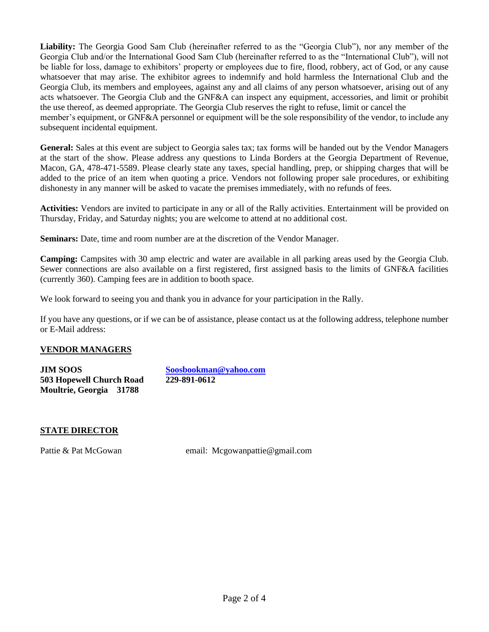**Liability:** The Georgia Good Sam Club (hereinafter referred to as the "Georgia Club"), nor any member of the Georgia Club and/or the International Good Sam Club (hereinafter referred to as the "International Club"), will not be liable for loss, damage to exhibitors' property or employees due to fire, flood, robbery, act of God, or any cause whatsoever that may arise. The exhibitor agrees to indemnify and hold harmless the International Club and the Georgia Club, its members and employees, against any and all claims of any person whatsoever, arising out of any acts whatsoever. The Georgia Club and the GNF&A can inspect any equipment, accessories, and limit or prohibit the use thereof, as deemed appropriate. The Georgia Club reserves the right to refuse, limit or cancel the member's equipment, or GNF&A personnel or equipment will be the sole responsibility of the vendor, to include any subsequent incidental equipment.

**General:** Sales at this event are subject to Georgia sales tax; tax forms will be handed out by the Vendor Managers at the start of the show. Please address any questions to Linda Borders at the Georgia Department of Revenue, Macon, GA, 478-471-5589. Please clearly state any taxes, special handling, prep, or shipping charges that will be added to the price of an item when quoting a price. Vendors not following proper sale procedures, or exhibiting dishonesty in any manner will be asked to vacate the premises immediately, with no refunds of fees.

**Activities:** Vendors are invited to participate in any or all of the Rally activities. Entertainment will be provided on Thursday, Friday, and Saturday nights; you are welcome to attend at no additional cost.

**Seminars:** Date, time and room number are at the discretion of the Vendor Manager.

**Camping:** Campsites with 30 amp electric and water are available in all parking areas used by the Georgia Club. Sewer connections are also available on a first registered, first assigned basis to the limits of GNF&A facilities (currently 360). Camping fees are in addition to booth space.

We look forward to seeing you and thank you in advance for your participation in the Rally.

If you have any questions, or if we can be of assistance, please contact us at the following address, telephone number or E-Mail address:

## **VENDOR MANAGERS**

**JIM SOOS [Soosbookman@yahoo.com](mailto:Soosbookman@yahoo.com) 503 Hopewell Church Road 229-891-0612 Moultrie, Georgia 31788**

## **STATE DIRECTOR**

Pattie & Pat McGowan email: [Mcgowanpattie@gmail.com](mailto:Mcgowanpattie@gmail.com)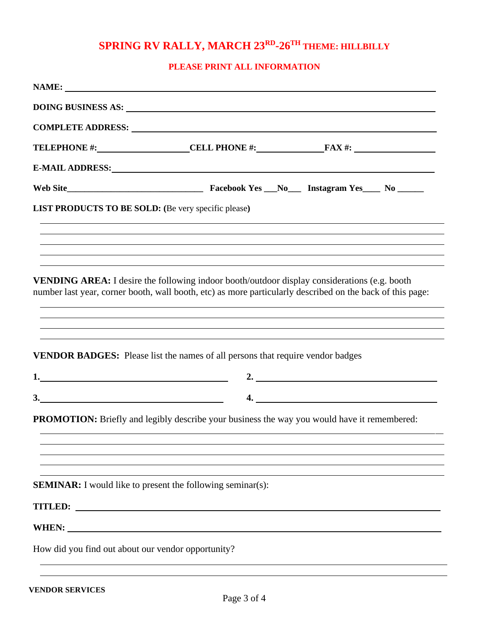# **SPRING RV RALLY, MARCH 23RD -26TH THEME: HILLBILLY**

## **PLEASE PRINT ALL INFORMATION**

|                                                     | COMPLETE ADDRESS: University of the COMPLETE ADDRESS:                                                                                                                                                                                                                                                                                                                                     |                                                                                                                       |
|-----------------------------------------------------|-------------------------------------------------------------------------------------------------------------------------------------------------------------------------------------------------------------------------------------------------------------------------------------------------------------------------------------------------------------------------------------------|-----------------------------------------------------------------------------------------------------------------------|
|                                                     |                                                                                                                                                                                                                                                                                                                                                                                           | TELEPHONE #: CELL PHONE #: FAX #:                                                                                     |
|                                                     | E-MAIL ADDRESS: North and the contract of the contract of the contract of the contract of the contract of the contract of the contract of the contract of the contract of the contract of the contract of the contract of the                                                                                                                                                             |                                                                                                                       |
|                                                     |                                                                                                                                                                                                                                                                                                                                                                                           |                                                                                                                       |
| LIST PRODUCTS TO BE SOLD: (Be very specific please) |                                                                                                                                                                                                                                                                                                                                                                                           |                                                                                                                       |
|                                                     | ,我们也不会有什么。""我们的人,我们也不会有什么?""我们的人,我们也不会有什么?""我们的人,我们也不会有什么?""我们的人,我们也不会有什么?""我们的人                                                                                                                                                                                                                                                                                                          | <u> 1989 - Johann Johann Stoff, deutscher Stoffen und der Stoffen und der Stoffen und der Stoffen und der Stoffen</u> |
|                                                     | ,我们也不能会有一个人的事情。""我们的人们是不是我们的人,我们也不能会有一个人的人,我们也不能会有一个人的人,我们也不能会有一个人的人,我们也不能会有一个人的人<br><b>VENDING AREA:</b> I desire the following indoor booth/outdoor display considerations (e.g. booth<br>number last year, corner booth, wall booth, etc) as more particularly described on the back of this page:<br>,我们也不会有什么。""我们的人,我们也不会有什么?""我们的人,我们也不会有什么?""我们的人,我们也不会有什么?""我们的人,我们也不会有什么?""我们的人 |                                                                                                                       |
|                                                     | ,我们也不会有什么。""我们的人,我们也不会有什么?""我们的人,我们也不会有什么?""我们的人,我们也不会有什么?""我们的人,我们也不会有什么?""我们的人<br>,我们也不能会有什么。""我们的人,我们也不能会有什么?""我们的人,我们也不能会有什么?""我们的人,我们也不能会有什么?""我们的人,我们也不能会有什么?""<br>VENDOR BADGES: Please list the names of all persons that require vendor badges                                                                                                                                   | 2. $\qquad \qquad$                                                                                                    |
| 3.                                                  |                                                                                                                                                                                                                                                                                                                                                                                           | 4.                                                                                                                    |
|                                                     | <b>PROMOTION:</b> Briefly and legibly describe your business the way you would have it remembered:                                                                                                                                                                                                                                                                                        |                                                                                                                       |
|                                                     |                                                                                                                                                                                                                                                                                                                                                                                           |                                                                                                                       |
|                                                     | <b>SEMINAR:</b> I would like to present the following seminar(s):                                                                                                                                                                                                                                                                                                                         |                                                                                                                       |
| <b>TITLED:</b>                                      |                                                                                                                                                                                                                                                                                                                                                                                           |                                                                                                                       |
| <b>WHEN:</b>                                        |                                                                                                                                                                                                                                                                                                                                                                                           |                                                                                                                       |
| How did you find out about our vendor opportunity?  |                                                                                                                                                                                                                                                                                                                                                                                           |                                                                                                                       |